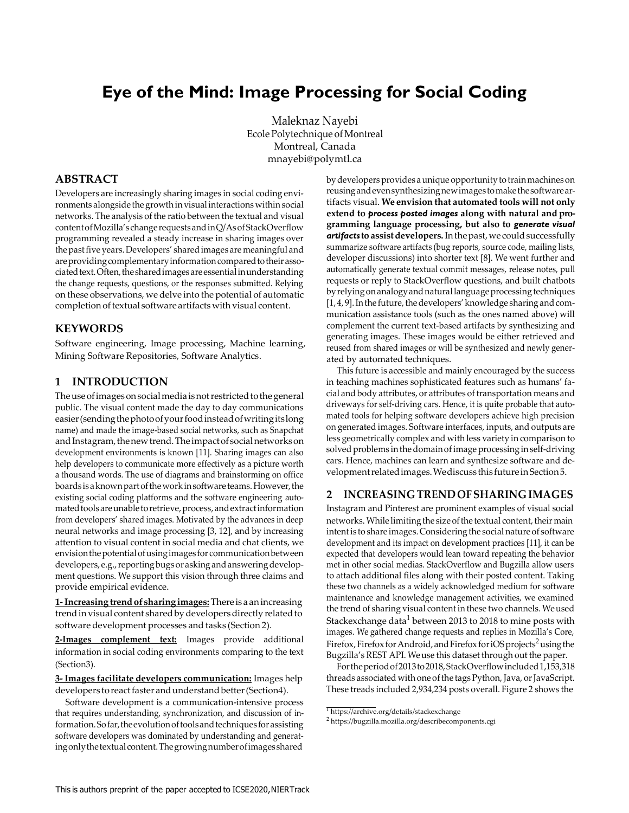# **Eye of the Mind: Image Processing for Social Coding**

Maleknaz Nayebi Ecole Polytechnique of Montreal Montreal, Canada [mnayebi@polymtl.ca](mailto:mnayebi@polymtl.ca)

# **ABSTRACT**

Developers are increasingly sharing images in social coding environments alongside the growth in visual interactions within social networks. The analysis of the ratio between the textual and visual contentofMozilla's changerequestsandinQ/AsofStackOverflow programming revealed a steady increase in sharing images over the past five years. Developers' shared images are meaningful and are providing complementary information compared to their associated text. Often, the shared images are essential in understanding the change requests, questions, or the responses submitted. Relying on these observations, we delve into the potential of automatic completion of textual software artifacts with visual content.

#### **KEYWORDS**

Software engineering, Image processing, Machine learning, Mining Software Repositories, Software Analytics.

#### **1 INTRODUCTION**

The use of images on social media is not restricted to the general public. The visual content made the day to day communications easier(sendingthephotoofyourfoodinsteadofwritingitslong name) and made the image-based social networks, such as Snapchat and Instagram, the new trend. The impact of social networks on development environments is known [\[11\]](#page-4-0). Sharing images can also help developers to communicate more effectively as a picture worth a thousand words. The use of diagrams and brainstorming on office boards is a known part of the work in software teams. However, the existing social coding platforms and the software engineering automated tools are unable to retrieve, process, and extract information from developers' shared images. Motivated by the advances in deep neural networks and image processing [\[3,](#page-4-1) [12\]](#page-4-2), and by increasing attention to visual content in social media and chat clients, we envision the potential of using images for communication between developers, e.g., reporting bugs or asking and answering development questions. We support this vision through three claims and provide empirical evidence.

**1-Increasing trendof sharing images:** There is a anincreasing trend in visual content shared by developers directly related to software development processes and tasks (Section [2\).](#page-0-0)

**2-Images complement text:** Images provide additional information in social coding environments comparing to the text (S[ection3\).](#page-1-0)

**3-Images facilitate developers communication:** Images help developers to react faster and understand better (S[ection4\).](#page-2-0)

Software development is a communication-intensive process that requires understanding, synchronization, and discussion of information. So far, the evolution of tools and techniques for assisting software developers was dominated by understanding and generatingonlythetextualcontent.Thegrowingnumberofimagesshared

by developers provides a unique opportunity to train machines on reusingandevensynthesizingnewimages tomakethesoftwareartifacts visual. **We envision that automated tools will not only extend to** *process posted images* **along with natural and programming language processing, but also to** *generate visual*  artifacts to assist developers. In the past, we could successfully summarize software artifacts (bug reports, source code, mailing lists, developer discussions) into shorter text [\[8\]](#page-4-3). We went further and automatically generate textual commit messages, release notes, pull requests or reply to StackOverflow questions, and built chatbots by relying on analogy and natural language processing techniques [\[1,](#page-4-4) [4,](#page-4-5) [9\]](#page-4-6). In the future, the developers' knowledge sharing and communication assistance tools (such as the ones named above) will complement the current text-based artifacts by synthesizing and generating images. These images would be either retrieved and reused from shared images or will be synthesized and newly generated by automated techniques.

This future is accessible and mainly encouraged by the success in teaching machines sophisticated features such as humans' facial and body attributes, or attributes of transportation means and driveways for self-driving cars. Hence, it is quite probable that automated tools for helping software developers achieve high precision on generated images. Software interfaces, inputs, and outputs are less geometrically complex and with less variety in comparison to solved problems in the domain of image processing in self-driving cars. Hence, machines can learn and synthesize software and developmentrelatedimages.Wediscuss this futureinSectio[n5.](#page-2-1)

#### <span id="page-0-0"></span>**2 INCREASING TRENDOFSHARING IMAGES**

Instagram and Pinterest are prominent examples of visual social networks. While limiting the size of the textual content, their main intentis to share images. Considering the social nature of software development and its impact on development practices [\[11\]](#page-4-0), it can be expected that developers would lean toward repeating the behavior met in other social medias. StackOverflow and Bugzilla allow users to attach additional files along with their posted content. Taking these two channels as a widely acknowledged medium for software maintenance and knowledge management activities, we examined the trend of sharing visual content in these two channels. Weused Stackexchange data<sup>1</sup> between 2013 to 2018 to mine posts with images. We gathered change requests and replies in Mozilla's Core, Firefox, Firefox for Android, and Firefox for iOS projects<sup>2</sup> using the Bugzilla's REST API. Weuse this dataset through out the paper.

Fortheperiodof2013to2018,StackOverflowincluded1,153,318 threads associated with one of the tags Python, Java, or JavaScript. These treads included 2,934,234 posts overall. Figure [2](#page-1-1) shows the

<sup>1</sup><https://archive.org/details/stackexchange>

<sup>2</sup><https://bugzilla.mozilla.org/describecomponents.cgi>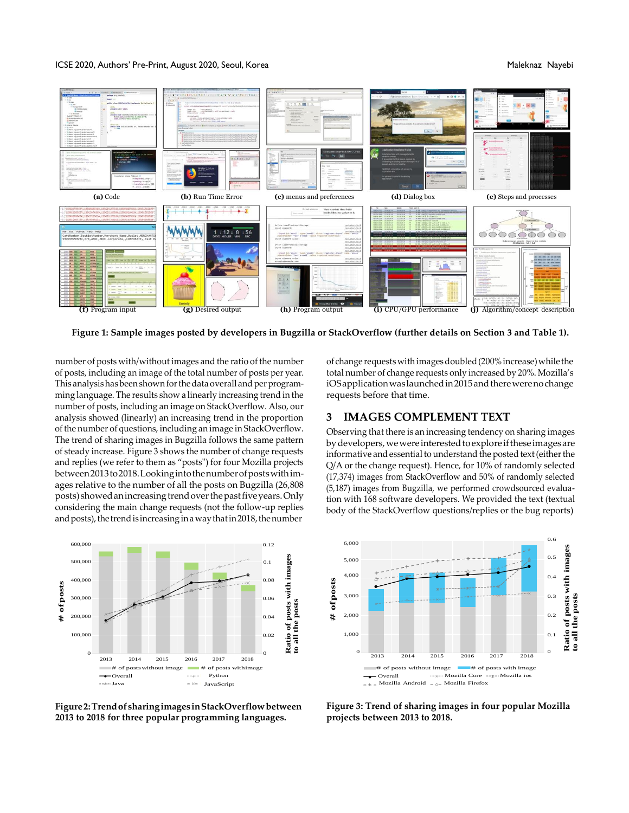#### ICSE 2020, Authors' Pre-Print, August 2020, Seoul, Korea Maleknaz Nayebi Nayebi Nayebi Nayebi Nayebi Nayebi Na

<span id="page-1-3"></span>

**Figure 1: Sample images posted by developers in Bugzilla or StackOverflow (further details on Section [3 a](#page-1-0)nd Tabl[e 1\).](#page-2-2)**

number of posts with/without images and the ratio of the number of posts, including an image of the total number of posts per year. This analysis has been shown for the data overall and per programming language. The results show a linearly increasing trend in the number of posts, including an image on StackOverflow. Also, our analysis showed (linearly) an increasing trend in the proportion of the number of questions, including an image in StackOverflow. The trend of sharing images in Bugzilla follows the same pattern of steady increase. Figure [3](#page-1-2) shows the number of change requests and replies (we refer to them as "posts") for four Mozilla projects between2013to2018.Lookingintothenumberofpostswithimages relative to the number of all the posts on Bugzilla (26,808 posts) showed an increasing trend over the past five years. Only considering the main change requests (not the follow-up replies and posts), the trend is increasing in a way that in 2018, the number



of change requestswithimagesdoubled(200%increase)while the total number of change requests only increased by 20%. Mozilla's iOSapplicationwaslaunchedin2015andtherewerenochange requests before that time.

### <span id="page-1-0"></span>**3 IMAGES COMPLEMENT TEXT**

<span id="page-1-2"></span>Observing that there is an increasing tendency on sharing images by developers, we were interested to explore if these images are informative and essential to understand the posted text (either the Q/A or the change request). Hence, for 10% of randomly selected (17,374) images from StackOverflow and 50% of randomly selected (5,187) images from Bugzilla, we performed crowdsourced evaluation with 168 software developers. We provided the text (textual body of the StackOverflow questions/replies or the bug reports)

<span id="page-1-1"></span>

**Figure2:Trendof sharingimages inStackOverflowbetween 2013 to 2018 for three popular programming languages.**

**Figure 3: Trend of sharing images in four popular Mozilla projects between 2013 to 2018.**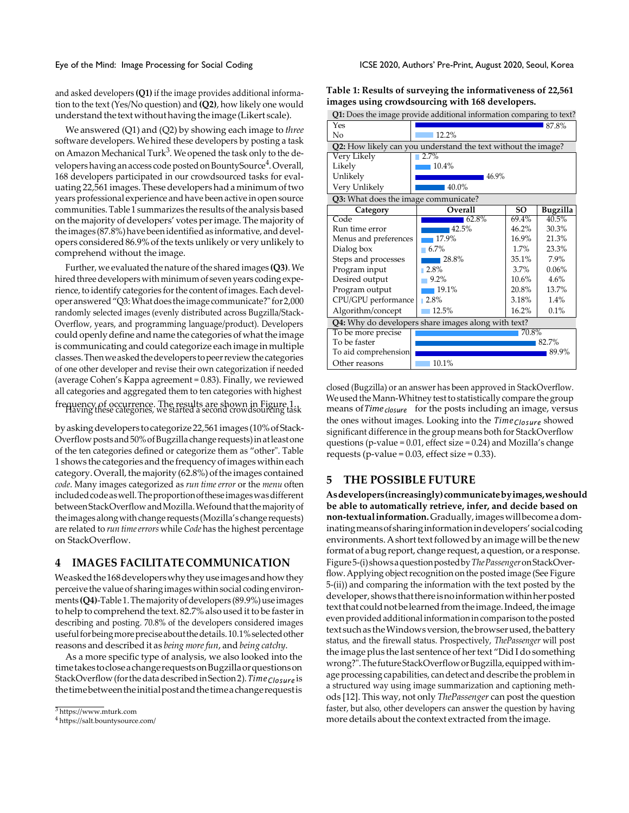and asked developers **(Q1)** if the image provides additional information to the text (Yes/No question) and **(Q2)**, how likely one would understand the text without having the image (Likert scale).

We answered (Q1) and (Q2) by showing each image to *three*  software developers. We hired these developers by posting a task on Amazon Mechanical Turk<sup>3</sup>. We opened the task only to the developers having an access code posted on BountySource<sup>4</sup>. Overall, 168 developers participated in our crowdsourced tasks for evaluating 22,561 images. These developers had a minimum of two years professional experience and have been active in open source communities. Table [1](#page-2-2) summarizes the results of the analysis based on the majority of developers' votes per image. The majority of the images (87.8%) have been identified as informative, and developers considered 86.9% of the texts unlikely or very unlikely to comprehend without the image.

Further, we evaluated the nature of the shared images (Q3). We hired three developers with minimum of seven years coding experience, to identify categories for the content of images. Each developer answered "Q3: What does the image communicate?" for 2,000 randomly selected images (evenly distributed across Bugzilla/Stack-Overflow, years, and programming language/product). Developers could openly define and name the categories of what the image is communicating and could categorize each image in multiple classes.Thenweaskedthedevelopers topeerreviewthecategories of one other developer and revise their own categorization if needed (average Cohen's Kappa agreement = 0.83). Finally, we reviewed all categories and aggregated them to ten categories with highest

by asking developers to categorize 22,561 images (10% of Stack-Overflowposts and50%ofBugzilla change requests)inatleastone of the ten categories defined or categorize them as "other". Table [1](#page-2-2) shows the categories and the frequency of images within each category. Overall, the majority (62.8%) of the images contained *code*. Many images categorized as *run time error* or the *menu* often includedcodeaswell.Theproportionoftheseimageswasdifferent between StackOverflow and Mozilla. We found that the majority of the images along with change requests (Mozilla's change requests) are related to *run timeerrors* while *Code* has the highest percentage on StackOverflow.

#### <span id="page-2-0"></span>**4 IMAGES FACILITATECOMMUNICATION**

Weasked the 168 developers why they use images and how they perceive the value of sharing images within social coding environments **(Q4)**-Table 1. The majority of developers (89.9%) use images to help to comprehend the text. 82.7% also used it to be faster in describing and posting. 70.8% of the developers considered images usefulforbeingmorepreciseaboutthedetails.10.1%selectedother reasons and described it as *being morefun*, and *being catchy*.

As a more specific type of analysis, we also looked into the timetakestocloseachangerequestsonBugzillaorquestionson StackOverflow (forthedatadescribedinSectio[n2\).](#page-0-0)*TimeClosure* is thetimebetweentheinitialpostandthetimeachangerequestis

<span id="page-2-2"></span>

| Table 1: Results of surveying the informativeness of 22,561 |  |
|-------------------------------------------------------------|--|
| images using crowdsourcing with 168 developers.             |  |

| Q1: Does the image provide additional information comparing to text? |          |           |          |  |
|----------------------------------------------------------------------|----------|-----------|----------|--|
| Yes                                                                  |          |           | 87.8%    |  |
| No                                                                   | 12.2%    |           |          |  |
| Q2: How likely can you understand the text without the image?        |          |           |          |  |
| Very Likely                                                          | $2.7\%$  |           |          |  |
| Likely                                                               | 10.4%    |           |          |  |
| Unlikely                                                             | 46.9%    |           |          |  |
| Very Unlikely                                                        | 40.0%    |           |          |  |
| Q3: What does the image communicate?                                 |          |           |          |  |
| Category                                                             | Overall  | <b>SO</b> | Bugzilla |  |
| Code                                                                 | 62.8%    | 69.4%     | $40.5\%$ |  |
| Run time error                                                       | 42.5%    | 46.2%     | 30.3%    |  |
| Menus and preferences                                                | 17.9%    | 16.9%     | 21.3%    |  |
| Dialog box                                                           | 6.7%     | 1.7%      | 23.3%    |  |
| Steps and processes                                                  | 28.8%    | 35.1%     | 7.9%     |  |
| Program input                                                        | $12.8\%$ | $3.7\%$   | 0.06%    |  |
| Desired output                                                       | 9.2%     | $10.6\%$  | 4.6%     |  |
| Program output                                                       | 19.1%    | 20.8%     | 13.7%    |  |
| CPU/GPU performance                                                  | $12.8\%$ | 3.18%     | 1.4%     |  |
| Algorithm/concept                                                    | 12.5%    | 16.2%     | 0.1%     |  |
| Q4: Why do developers share images along with text?                  |          |           |          |  |
| To be more precise                                                   |          | 70.8%     |          |  |
| To be faster                                                         |          |           | 82.7%    |  |
| To aid comprehension                                                 |          |           | 89.9%    |  |
| Other reasons                                                        | 10.1%    |           |          |  |

closed (Bugzilla) or an answer has been approved in StackOverflow. Frequency of occurrence. The results are shown in Figur[e 1.](#page-1-3)<br>
Having these categories, we started a second crown in Figure 1.<br>
Having these categories, we started a second crowdsourcing task means of *Time closure* for the the ones without images. Looking into the *TimeClosure* showed significant difference in the group means both for StackOverflow questions (p-value =  $0.01$ , effect size =  $0.24$ ) and Mozilla's change requests (p-value =  $0.03$ , effect size =  $0.33$ ).

### <span id="page-2-1"></span>**5 THE POSSIBLE FUTURE**

**Asdevelopers(increasingly)communicatebyimages,weshould be able to automatically retrieve, infer, and decide based on non-textualinformation.**Gradually,imageswillbecomeadominatingmeansofsharinginformationindevelopers'socialcoding environments. A short text followed by an image will be the new format of abugreport, change request, aquestion, or a response. Figur[e5-\(i\)s](#page-3-0)howsaquestionpostedby*ThePassenger*onStackOverflow. Applying object recognition on the posted image (See Figure [5-\(ii\)\)](#page-3-0) and comparing the information with the text posted by the developer, shows that there is no information within her posted text that could not be learned from the image. Indeed, the image even provided additional information in comparison to the posted text such as the Windows version, the browser used, the battery status, and the firewall status. Prospectively, *ThePassenger* will post the image plus the last sentence of her text "Did I do something wrong?". The future StackOverflow or Bugzilla, equipped with image processing capabilities, can detect and describe the problem in a structured way using image summarization and captioning methods [\[12\]](#page-4-2). This way, not only *ThePassenger* can post the question faster, but also, other developers can answer the question by having more details about the context extracted from the image.

<sup>3</sup>[https://www.mturk.com](https://www.mturk.com/)

<sup>4</sup><https://salt.bountysource.com/>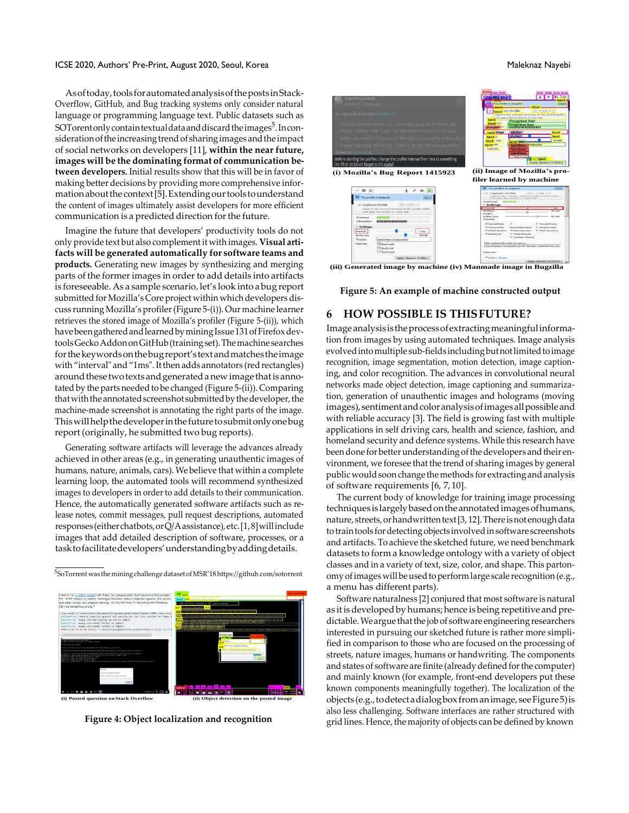#### ICSE 2020, Authors' Pre-Print, August 2020, Seoul, Korea Mateur Annual According to the Maleknaz Nayebi

Asoftoday,toolsforautomatedanalysisofthepostsinStack-Overflow, GitHub, and Bug tracking systems only consider natural language or programming language text. Public datasets such as SOTorentonly contain textual data and discard the images<sup>5</sup>. In consideration of the increasing trend of sharing images and the impact of social networks on developers [\[11\]](#page-4-0), **within the near future, images will be the dominating format of communication between developers.** Initial results show that this will be in favor of making better decisions by providing more comprehensive infor-mation about the context [\[5\]](#page-4-7). Extending our tools to understand the content of images ultimately assist developers for more efficient communication is a predicted direction forthe future.

Imagine the future that developers' productivity tools do not only provide text but also complementit with images. **Visual artifacts will be generated automatically for software teams and products.** Generating new images by synthesizing and merging parts of the former images in order to add details into artifacts is foreseeable. As a sample scenario, let's look into a bug report submitted for Mozilla's Core project within which developers discuss runningMozilla's profiler(Figure [5-\(i\)\).](#page-3-0) Our machine learner retrieves the stored image of Mozilla's profiler (Figure [5-\(ii\)\), w](#page-3-0)hich havebeengatheredandlearnedbyminingIssue131ofFirefoxdevtools Gecko Addon on GitHub (training set). The machine searches forthekeywordsonthebugreport'stextandmatchestheimage with "interval" and "1ms". It then adds annotators (red rectangles) around these two texts and generated a new image that is annotated by the parts needed to be changed (Figure [5-\(ii\)\).](#page-3-0) Comparing that with the annotated screenshot submitted by the developer, the machine-made screenshot is annotating the right parts of the image. Thiswillhelpthedeveloperinthefuturetosubmitonlyonebug report (originally, he submitted two bug reports).

Generating software artifacts will leverage the advances already achieved in other areas (e.g., in generating unauthentic images of humans, nature, animals, cars). We believe that within a complete learning loop, the automated tools will recommend synthesized images to developers in order to add details to their communication. Hence, the automatically generated software artifacts such as release notes, commit messages, pull request descriptions, automated responses (either chatbots, or Q/A assistance), etc. [\[1,](#page-4-4)[8\]](#page-4-3) will include images that add detailed description of software, processes, or a tasktofacilitatedevelopers'understandingbyaddingdetails.

<sup>5</sup>SoTorrent was the miningchallenge dataset ofMSR'18 <https://github.com/sotorrent>



**Figure 4: Object localization and recognition**

<span id="page-3-0"></span>

**(iii) Generated image by machine (iv) Manmade image in Bugzilla**

**Figure 5: An example of machine constructed output**

# **6 HOW POSSIBLE IS THISFUTURE?**

Image analysis is the process of extracting meaningful information from images by using automated techniques. Image analysis evolved into multiple sub-fields including but not limited to image recognition, image segmentation, motion detection, image captioning, and color recognition. The advances in convolutional neural networks made object detection, image captioning and summarization, generation of unauthentic images and holograms (moving images), sentiment and color analysis of images all possible and with reliable accuracy [\[3\]](#page-4-1). The field is growing fast with multiple applications in self driving cars, health and science, fashion, and homeland security and defence systems. While this research have been done for better understanding of the developers and their environment, we foresee that the trend of sharing images by general public would soon change the methods for extracting and analysis of software requirements [\[6,](#page-4-8) [7,](#page-4-9)[10\].](#page-4-10)

The current body of knowledge for training image processing techniques is largelybasedontheannotatedimagesofhumans, nature, streets, or handwrittentext [\[3,](#page-4-1) [12\]](#page-4-2). There is not enough data to train tools for detecting objects involved in software screenshots and artifacts. To achieve the sketched future, we need benchmark datasets to form a knowledge ontology with a variety of object classes and in a variety of text, size, color, and shape. This partonomy of images will be used to perform large scale recognition (e.g., a menu has different parts).

Software naturalness [\[2\]](#page-4-11) conjured that most software is natural as it is developed by humans; hence is being repetitive and predictable. We argue that the job of software engineering researchers interested in pursuing our sketched future is rather more simplified in comparison to those who are focused on the processing of streets, nature images, humans or handwriting. The components and states of software are finite (already defined for the computer) and mainly known (for example, front-end developers put these known components meaningfully together). The localization of the objects (e.g.,todetectadialogboxfromanimage,seeFigur[e5\)i](#page-3-0)s also less challenging. Software interfaces are rather structured with grid lines. Hence, the majority of objects can be defined by known